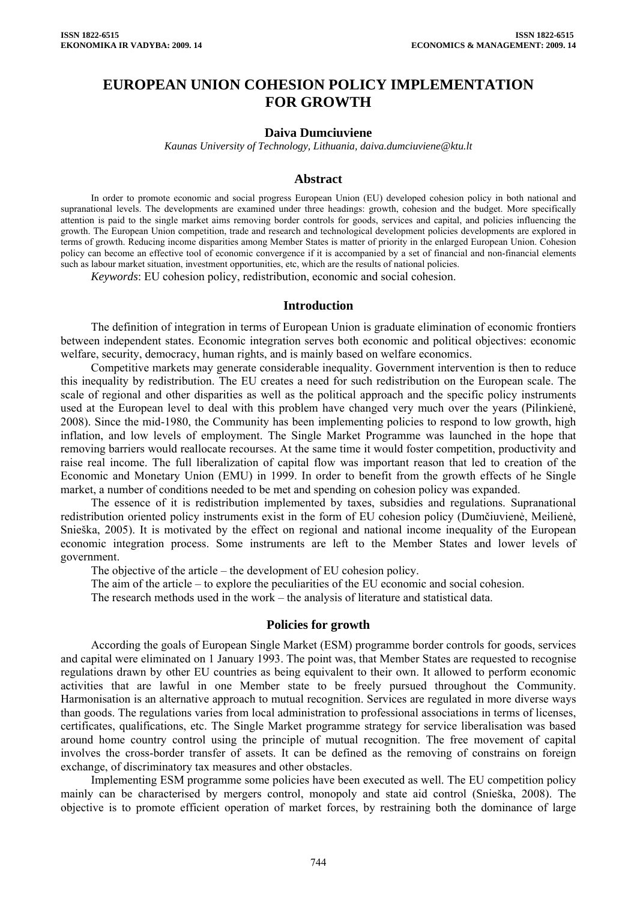# **EUROPEAN UNION COHESION POLICY IMPLEMENTATION FOR GROWTH**

#### **Daiva Dumciuviene**

*Kaunas University of Technology, Lithuania, daiva.dumciuviene@ktu.lt* 

#### **Abstract**

In order to promote economic and social progress European Union (EU) developed cohesion policy in both national and supranational levels. The developments are examined under three headings: growth, cohesion and the budget. More specifically attention is paid to the single market aims removing border controls for goods, services and capital, and policies influencing the growth. The European Union competition, trade and research and technological development policies developments are explored in terms of growth. Reducing income disparities among Member States is matter of priority in the enlarged European Union. Cohesion policy can become an effective tool of economic convergence if it is accompanied by a set of financial and non-financial elements such as labour market situation, investment opportunities, etc, which are the results of national policies.

*Keywords*: EU cohesion policy, redistribution, economic and social cohesion.

#### **Introduction**

The definition of integration in terms of European Union is graduate elimination of economic frontiers between independent states. Economic integration serves both economic and political objectives: economic welfare, security, democracy, human rights, and is mainly based on welfare economics.

Competitive markets may generate considerable inequality. Government intervention is then to reduce this inequality by redistribution. The EU creates a need for such redistribution on the European scale. The scale of regional and other disparities as well as the political approach and the specific policy instruments used at the European level to deal with this problem have changed very much over the years (Pilinkienė, 2008). Since the mid-1980, the Community has been implementing policies to respond to low growth, high inflation, and low levels of employment. The Single Market Programme was launched in the hope that removing barriers would reallocate recourses. At the same time it would foster competition, productivity and raise real income. The full liberalization of capital flow was important reason that led to creation of the Economic and Monetary Union (EMU) in 1999. In order to benefit from the growth effects of he Single market, a number of conditions needed to be met and spending on cohesion policy was expanded.

The essence of it is redistribution implemented by taxes, subsidies and regulations. Supranational redistribution oriented policy instruments exist in the form of EU cohesion policy (Dumčiuvienė, Meilienė, Snieška, 2005). It is motivated by the effect on regional and national income inequality of the European economic integration process. Some instruments are left to the Member States and lower levels of government.

The objective of the article – the development of EU cohesion policy.

The aim of the article – to explore the peculiarities of the EU economic and social cohesion.

The research methods used in the work – the analysis of literature and statistical data.

## **Policies for growth**

According the goals of European Single Market (ESM) programme border controls for goods, services and capital were eliminated on 1 January 1993. The point was, that Member States are requested to recognise regulations drawn by other EU countries as being equivalent to their own. It allowed to perform economic activities that are lawful in one Member state to be freely pursued throughout the Community. Harmonisation is an alternative approach to mutual recognition. Services are regulated in more diverse ways than goods. The regulations varies from local administration to professional associations in terms of licenses, certificates, qualifications, etc. The Single Market programme strategy for service liberalisation was based around home country control using the principle of mutual recognition. The free movement of capital involves the cross-border transfer of assets. It can be defined as the removing of constrains on foreign exchange, of discriminatory tax measures and other obstacles.

Implementing ESM programme some policies have been executed as well. The EU competition policy mainly can be characterised by mergers control, monopoly and state aid control (Snieška, 2008). The objective is to promote efficient operation of market forces, by restraining both the dominance of large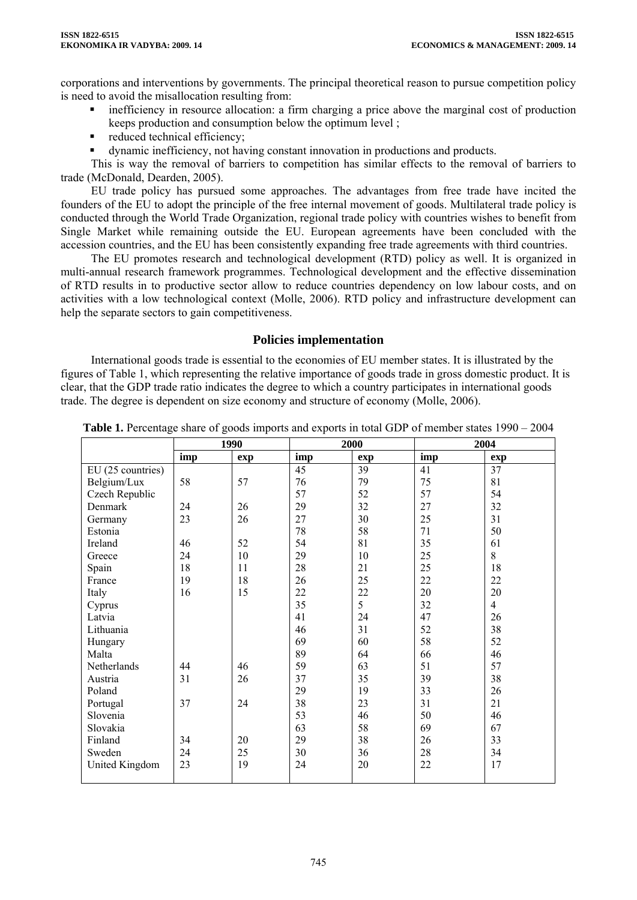corporations and interventions by governments. The principal theoretical reason to pursue competition policy is need to avoid the misallocation resulting from:

- **inefficiency** in resource allocation: a firm charging a price above the marginal cost of production keeps production and consumption below the optimum level ;
- reduced technical efficiency:
- dynamic inefficiency, not having constant innovation in productions and products.

This is way the removal of barriers to competition has similar effects to the removal of barriers to trade (McDonald, Dearden, 2005).

EU trade policy has pursued some approaches. The advantages from free trade have incited the founders of the EU to adopt the principle of the free internal movement of goods. Multilateral trade policy is conducted through the World Trade Organization, regional trade policy with countries wishes to benefit from Single Market while remaining outside the EU. European agreements have been concluded with the accession countries, and the EU has been consistently expanding free trade agreements with third countries.

The EU promotes research and technological development (RTD) policy as well. It is organized in multi-annual research framework programmes. Technological development and the effective dissemination of RTD results in to productive sector allow to reduce countries dependency on low labour costs, and on activities with a low technological context (Molle, 2006). RTD policy and infrastructure development can help the separate sectors to gain competitiveness.

## **Policies implementation**

International goods trade is essential to the economies of EU member states. It is illustrated by the figures of Table 1, which representing the relative importance of goods trade in gross domestic product. It is clear, that the GDP trade ratio indicates the degree to which a country participates in international goods trade. The degree is dependent on size economy and structure of economy (Molle, 2006).

|                   | 1990 |     | 2000 |     | 2004 |                |
|-------------------|------|-----|------|-----|------|----------------|
|                   | imp  | exp | imp  | exp | imp  | exp            |
| EU (25 countries) |      |     | 45   | 39  | 41   | 37             |
| Belgium/Lux       | 58   | 57  | 76   | 79  | 75   | 81             |
| Czech Republic    |      |     | 57   | 52  | 57   | 54             |
| Denmark           | 24   | 26  | 29   | 32  | 27   | 32             |
| Germany           | 23   | 26  | 27   | 30  | 25   | 31             |
| Estonia           |      |     | 78   | 58  | 71   | 50             |
| Ireland           | 46   | 52  | 54   | 81  | 35   | 61             |
| Greece            | 24   | 10  | 29   | 10  | 25   | 8              |
| Spain             | 18   | 11  | 28   | 21  | 25   | 18             |
| France            | 19   | 18  | 26   | 25  | 22   | 22             |
| Italy             | 16   | 15  | 22   | 22  | 20   | 20             |
| Cyprus            |      |     | 35   | 5   | 32   | $\overline{4}$ |
| Latvia            |      |     | 41   | 24  | 47   | 26             |
| Lithuania         |      |     | 46   | 31  | 52   | 38             |
| Hungary           |      |     | 69   | 60  | 58   | 52             |
| Malta             |      |     | 89   | 64  | 66   | 46             |
| Netherlands       | 44   | 46  | 59   | 63  | 51   | 57             |
| Austria           | 31   | 26  | 37   | 35  | 39   | 38             |
| Poland            |      |     | 29   | 19  | 33   | 26             |
| Portugal          | 37   | 24  | 38   | 23  | 31   | 21             |
| Slovenia          |      |     | 53   | 46  | 50   | 46             |
| Slovakia          |      |     | 63   | 58  | 69   | 67             |
| Finland           | 34   | 20  | 29   | 38  | 26   | 33             |
| Sweden            | 24   | 25  | 30   | 36  | 28   | 34             |
| United Kingdom    | 23   | 19  | 24   | 20  | 22   | 17             |
|                   |      |     |      |     |      |                |

**Table 1.** Percentage share of goods imports and exports in total GDP of member states 1990 – 2004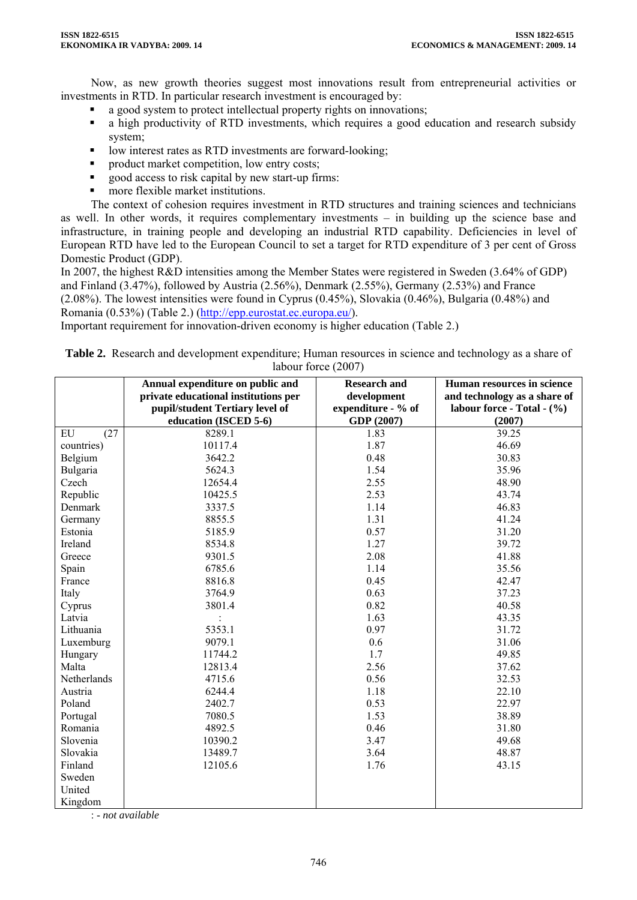Now, as new growth theories suggest most innovations result from entrepreneurial activities or investments in RTD. In particular research investment is encouraged by:

- a good system to protect intellectual property rights on innovations;
- a high productivity of RTD investments, which requires a good education and research subsidy system;
- low interest rates as RTD investments are forward-looking;
- product market competition, low entry costs;
- good access to risk capital by new start-up firms:
- more flexible market institutions.

The context of cohesion requires investment in RTD structures and training sciences and technicians as well. In other words, it requires complementary investments – in building up the science base and infrastructure, in training people and developing an industrial RTD capability. Deficiencies in level of European RTD have led to the European Council to set a target for RTD expenditure of 3 per cent of Gross Domestic Product (GDP).

In 2007, the highest R&D intensities among the Member States were registered in Sweden (3.64% of GDP) and Finland (3.47%), followed by Austria (2.56%), Denmark (2.55%), Germany (2.53%) and France (2.08%). The lowest intensities were found in Cyprus (0.45%), Slovakia (0.46%), Bulgaria (0.48%) and Romania (0.53%) (Table 2.) [\(http://epp.eurostat.ec.europa.eu/\)](http://epp.eurostat.ec.europa.eu/).

Important requirement for innovation-driven economy is higher education (Table 2.)

| <b>Table 2.</b> Research and development expenditure; Human resources in science and technology as a share of |
|---------------------------------------------------------------------------------------------------------------|
| labour force (2007)                                                                                           |

|             | Annual expenditure on public and<br>private educational institutions per<br>pupil/student Tertiary level of | <b>Research and</b><br>development<br>expenditure - % of | Human resources in science<br>and technology as a share of<br>labour force - Total - (%) |
|-------------|-------------------------------------------------------------------------------------------------------------|----------------------------------------------------------|------------------------------------------------------------------------------------------|
|             | education (ISCED 5-6)                                                                                       | GDP (2007)                                               | (2007)                                                                                   |
| (27)<br>EU  | 8289.1                                                                                                      | 1.83                                                     | 39.25                                                                                    |
| countries)  | 10117.4                                                                                                     | 1.87                                                     | 46.69                                                                                    |
| Belgium     | 3642.2                                                                                                      | 0.48                                                     | 30.83                                                                                    |
| Bulgaria    | 5624.3                                                                                                      | 1.54                                                     | 35.96                                                                                    |
| Czech       | 12654.4                                                                                                     | 2.55                                                     | 48.90                                                                                    |
| Republic    | 10425.5                                                                                                     | 2.53                                                     | 43.74                                                                                    |
| Denmark     | 3337.5                                                                                                      | 1.14                                                     | 46.83                                                                                    |
| Germany     | 8855.5                                                                                                      | 1.31                                                     | 41.24                                                                                    |
| Estonia     | 5185.9                                                                                                      | 0.57                                                     | 31.20                                                                                    |
| Ireland     | 8534.8                                                                                                      | 1.27                                                     | 39.72                                                                                    |
| Greece      | 9301.5                                                                                                      | 2.08                                                     | 41.88                                                                                    |
| Spain       | 6785.6                                                                                                      | 1.14                                                     | 35.56                                                                                    |
| France      | 8816.8                                                                                                      | 0.45                                                     | 42.47                                                                                    |
| Italy       | 3764.9                                                                                                      | 0.63                                                     | 37.23                                                                                    |
| Cyprus      | 3801.4                                                                                                      | 0.82                                                     | 40.58                                                                                    |
| Latvia      |                                                                                                             | 1.63                                                     | 43.35                                                                                    |
| Lithuania   | 5353.1                                                                                                      | 0.97                                                     | 31.72                                                                                    |
| Luxemburg   | 9079.1                                                                                                      | 0.6                                                      | 31.06                                                                                    |
| Hungary     | 11744.2                                                                                                     | 1.7                                                      | 49.85                                                                                    |
| Malta       | 12813.4                                                                                                     | 2.56                                                     | 37.62                                                                                    |
| Netherlands | 4715.6                                                                                                      | 0.56                                                     | 32.53                                                                                    |
| Austria     | 6244.4                                                                                                      | 1.18                                                     | 22.10                                                                                    |
| Poland      | 2402.7                                                                                                      | 0.53                                                     | 22.97                                                                                    |
| Portugal    | 7080.5                                                                                                      | 1.53                                                     | 38.89                                                                                    |
| Romania     | 4892.5                                                                                                      | 0.46                                                     | 31.80                                                                                    |
| Slovenia    | 10390.2                                                                                                     | 3.47                                                     | 49.68                                                                                    |
| Slovakia    | 13489.7                                                                                                     | 3.64                                                     | 48.87                                                                                    |
| Finland     | 12105.6                                                                                                     | 1.76                                                     | 43.15                                                                                    |
| Sweden      |                                                                                                             |                                                          |                                                                                          |
| United      |                                                                                                             |                                                          |                                                                                          |
| Kingdom     |                                                                                                             |                                                          |                                                                                          |

: - *not available*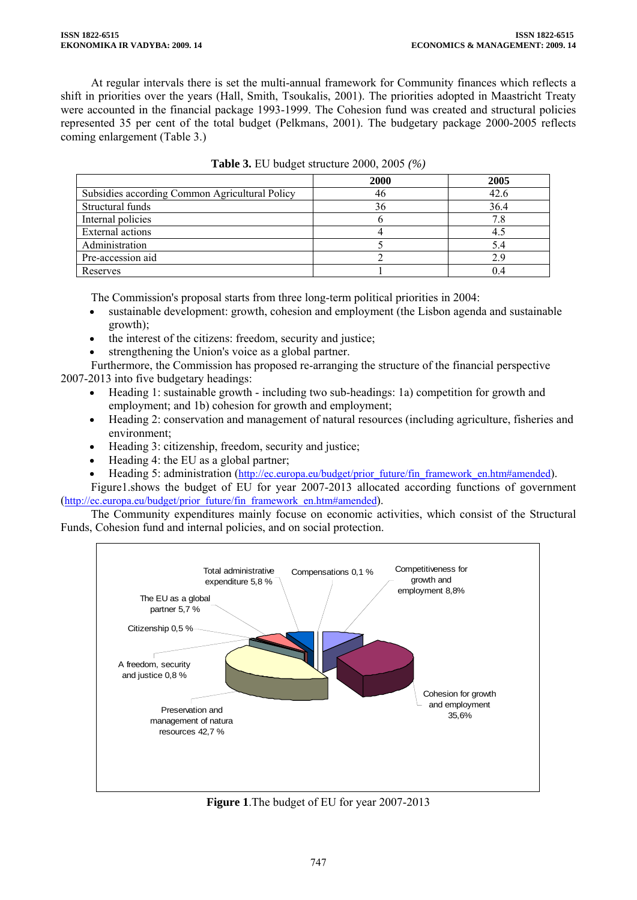At regular intervals there is set the multi-annual framework for Community finances which reflects a shift in priorities over the years (Hall, Smith, Tsoukalis, 2001). The priorities adopted in Maastricht Treaty were accounted in the financial package 1993-1999. The Cohesion fund was created and structural policies represented 35 per cent of the total budget (Pelkmans, 2001). The budgetary package 2000-2005 reflects coming enlargement (Table 3.)

|                                                | 2000 | 2005 |
|------------------------------------------------|------|------|
| Subsidies according Common Agricultural Policy | 46   | 42.6 |
| Structural funds                               | 36   | 36.4 |
| Internal policies                              |      | 7.8  |
| External actions                               |      | 4.5  |
| Administration                                 |      | 5.4  |
| Pre-accession aid                              |      | 2.9  |
| Reserves                                       |      | 0.4  |

| <b>Table 3.</b> EU budget structure 2000, 2005 (%) |  |  |  |
|----------------------------------------------------|--|--|--|
|                                                    |  |  |  |

The Commission's proposal starts from three long-term political priorities in 2004:

- sustainable development: growth, cohesion and employment (the Lisbon agenda and sustainable growth);
- the interest of the citizens: freedom, security and justice;

strengthening the Union's voice as a global partner.

 Furthermore, the Commission has proposed re-arranging the structure of the financial perspective 2007-2013 into five budgetary headings:

- Heading 1: sustainable growth including two sub-headings: 1a) competition for growth and employment; and 1b) cohesion for growth and employment;
- Heading 2: conservation and management of natural resources (including agriculture, fisheries and environment;
- Heading 3: citizenship, freedom, security and justice;
- Heading 4: the EU as a global partner;
- Heading 5: administration [\(http://ec.europa.eu/budget/prior\\_future/fin\\_framework\\_en.htm#amended\)](http://ec.europa.eu/budget/prior_future/fin_framework_en.htm#amended).

Figure1.shows the budget of EU for year 2007-2013 allocated according functions of government [\(http://ec.europa.eu/budget/prior\\_future/fin\\_framework\\_en.htm#amended](http://ec.europa.eu/budget/prior_future/fin_framework_en.htm#amended)).

The Community expenditures mainly focuse on economic activities, which consist of the Structural Funds, Cohesion fund and internal policies, and on social protection.



**Figure 1**.The budget of EU for year 2007-2013